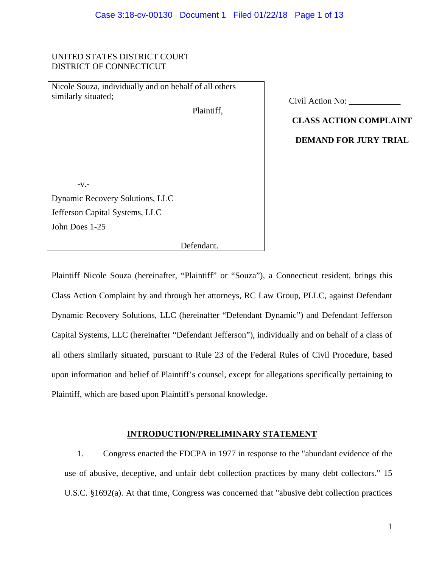#### UNITED STATES DISTRICT COURT DISTRICT OF CONNECTICUT

Nicole Souza, individually and on behalf of all others similarly situated;

Plaintiff,

| Civil Action No: |  |
|------------------|--|
|                  |  |

**CLASS ACTION COMPLAINT** 

**DEMAND FOR JURY TRIAL** 

-v.-

Dynamic Recovery Solutions, LLC Jefferson Capital Systems, LLC John Does 1-25

Defendant.

Plaintiff Nicole Souza (hereinafter, "Plaintiff" or "Souza"), a Connecticut resident, brings this Class Action Complaint by and through her attorneys, RC Law Group, PLLC, against Defendant Dynamic Recovery Solutions, LLC (hereinafter "Defendant Dynamic") and Defendant Jefferson Capital Systems, LLC (hereinafter "Defendant Jefferson"), individually and on behalf of a class of all others similarly situated, pursuant to Rule 23 of the Federal Rules of Civil Procedure, based upon information and belief of Plaintiff's counsel, except for allegations specifically pertaining to Plaintiff, which are based upon Plaintiff's personal knowledge.

#### **INTRODUCTION/PRELIMINARY STATEMENT**

1. Congress enacted the FDCPA in 1977 in response to the "abundant evidence of the use of abusive, deceptive, and unfair debt collection practices by many debt collectors." 15 U.S.C. §1692(a). At that time, Congress was concerned that "abusive debt collection practices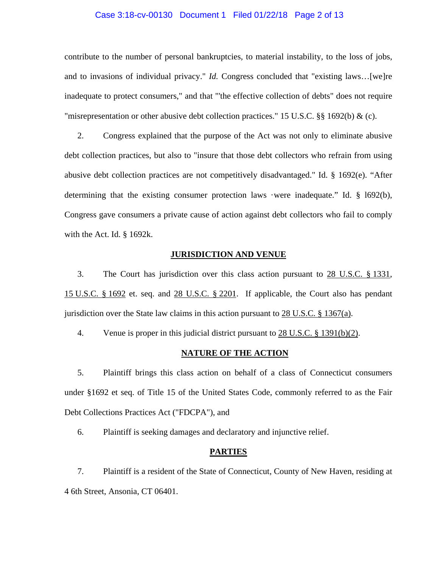#### Case 3:18-cv-00130 Document 1 Filed 01/22/18 Page 2 of 13

contribute to the number of personal bankruptcies, to material instability, to the loss of jobs, and to invasions of individual privacy." *Id.* Congress concluded that "existing laws...[we]re inadequate to protect consumers," and that "'the effective collection of debts" does not require "misrepresentation or other abusive debt collection practices." 15 U.S.C. §§ 1692(b) & (c).

2. Congress explained that the purpose of the Act was not only to eliminate abusive debt collection practices, but also to "insure that those debt collectors who refrain from using abusive debt collection practices are not competitively disadvantaged." Id. § 1692(e). "After determining that the existing consumer protection laws ·were inadequate." Id. § l692(b), Congress gave consumers a private cause of action against debt collectors who fail to comply with the Act. Id. § 1692k.

#### **JURISDICTION AND VENUE**

3. The Court has jurisdiction over this class action pursuant to 28 U.S.C. § 1331, 15 U.S.C. § 1692 et. seq. and 28 U.S.C. § 2201. If applicable, the Court also has pendant jurisdiction over the State law claims in this action pursuant to  $28 \text{ U.S.C. }$  § 1367(a).

4. Venue is proper in this judicial district pursuant to 28 U.S.C. § 1391(b)(2).

#### **NATURE OF THE ACTION**

5. Plaintiff brings this class action on behalf of a class of Connecticut consumers under §1692 et seq. of Title 15 of the United States Code, commonly referred to as the Fair Debt Collections Practices Act ("FDCPA"), and

6. Plaintiff is seeking damages and declaratory and injunctive relief.

#### **PARTIES**

7. Plaintiff is a resident of the State of Connecticut, County of New Haven, residing at 4 6th Street, Ansonia, CT 06401.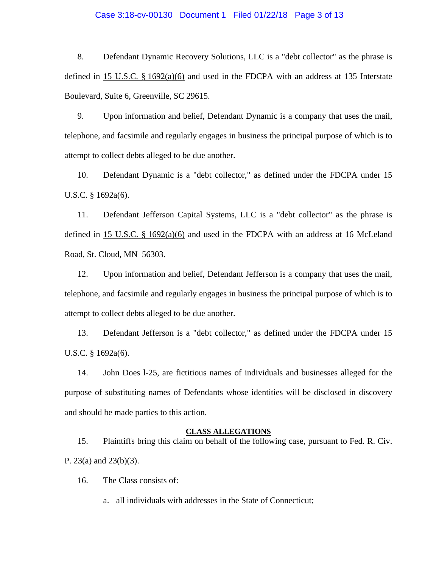#### Case 3:18-cv-00130 Document 1 Filed 01/22/18 Page 3 of 13

8. Defendant Dynamic Recovery Solutions, LLC is a "debt collector" as the phrase is defined in 15 U.S.C. § 1692(a)(6) and used in the FDCPA with an address at 135 Interstate Boulevard, Suite 6, Greenville, SC 29615.

9. Upon information and belief, Defendant Dynamic is a company that uses the mail, telephone, and facsimile and regularly engages in business the principal purpose of which is to attempt to collect debts alleged to be due another.

10. Defendant Dynamic is a "debt collector," as defined under the FDCPA under 15 U.S.C. § 1692a(6).

11. Defendant Jefferson Capital Systems, LLC is a "debt collector" as the phrase is defined in 15 U.S.C.  $\S$  1692(a)(6) and used in the FDCPA with an address at 16 McLeland Road, St. Cloud, MN 56303.

12. Upon information and belief, Defendant Jefferson is a company that uses the mail, telephone, and facsimile and regularly engages in business the principal purpose of which is to attempt to collect debts alleged to be due another.

13. Defendant Jefferson is a "debt collector," as defined under the FDCPA under 15 U.S.C. § 1692a(6).

14. John Does l-25, are fictitious names of individuals and businesses alleged for the purpose of substituting names of Defendants whose identities will be disclosed in discovery and should be made parties to this action.

#### **CLASS ALLEGATIONS**

15. Plaintiffs bring this claim on behalf of the following case, pursuant to Fed. R. Civ. P. 23(a) and 23(b)(3).

16. The Class consists of:

a. all individuals with addresses in the State of Connecticut;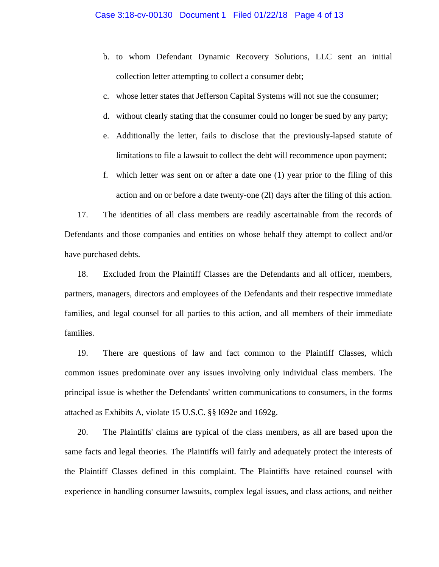- b. to whom Defendant Dynamic Recovery Solutions, LLC sent an initial collection letter attempting to collect a consumer debt;
- c. whose letter states that Jefferson Capital Systems will not sue the consumer;
- d. without clearly stating that the consumer could no longer be sued by any party;
- e. Additionally the letter, fails to disclose that the previously-lapsed statute of limitations to file a lawsuit to collect the debt will recommence upon payment;
- f. which letter was sent on or after a date one (1) year prior to the filing of this action and on or before a date twenty-one (2l) days after the filing of this action.

17. The identities of all class members are readily ascertainable from the records of Defendants and those companies and entities on whose behalf they attempt to collect and/or have purchased debts.

18. Excluded from the Plaintiff Classes are the Defendants and all officer, members, partners, managers, directors and employees of the Defendants and their respective immediate families, and legal counsel for all parties to this action, and all members of their immediate families.

19. There are questions of law and fact common to the Plaintiff Classes, which common issues predominate over any issues involving only individual class members. The principal issue is whether the Defendants' written communications to consumers, in the forms attached as Exhibits A, violate 15 U.S.C. §§ l692e and 1692g.

20. The Plaintiffs' claims are typical of the class members, as all are based upon the same facts and legal theories. The Plaintiffs will fairly and adequately protect the interests of the Plaintiff Classes defined in this complaint. The Plaintiffs have retained counsel with experience in handling consumer lawsuits, complex legal issues, and class actions, and neither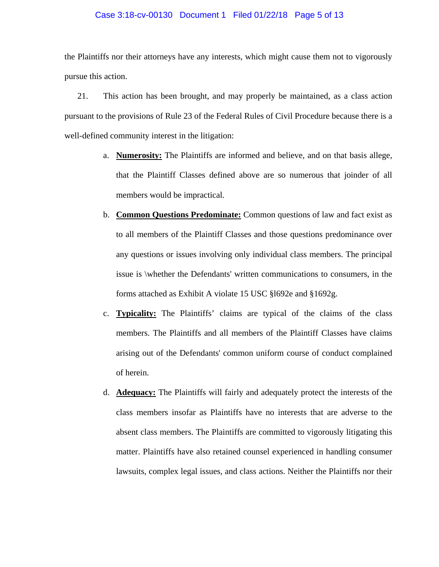#### Case 3:18-cv-00130 Document 1 Filed 01/22/18 Page 5 of 13

the Plaintiffs nor their attorneys have any interests, which might cause them not to vigorously pursue this action.

21. This action has been brought, and may properly be maintained, as a class action pursuant to the provisions of Rule 23 of the Federal Rules of Civil Procedure because there is a well-defined community interest in the litigation:

- a. **Numerosity:** The Plaintiffs are informed and believe, and on that basis allege, that the Plaintiff Classes defined above are so numerous that joinder of all members would be impractical.
- b. **Common Questions Predominate:** Common questions of law and fact exist as to all members of the Plaintiff Classes and those questions predominance over any questions or issues involving only individual class members. The principal issue is \whether the Defendants' written communications to consumers, in the forms attached as Exhibit A violate 15 USC §l692e and §1692g.
- c. **Typicality:** The Plaintiffs' claims are typical of the claims of the class members. The Plaintiffs and all members of the Plaintiff Classes have claims arising out of the Defendants' common uniform course of conduct complained of herein.
- d. **Adequacy:** The Plaintiffs will fairly and adequately protect the interests of the class members insofar as Plaintiffs have no interests that are adverse to the absent class members. The Plaintiffs are committed to vigorously litigating this matter. Plaintiffs have also retained counsel experienced in handling consumer lawsuits, complex legal issues, and class actions. Neither the Plaintiffs nor their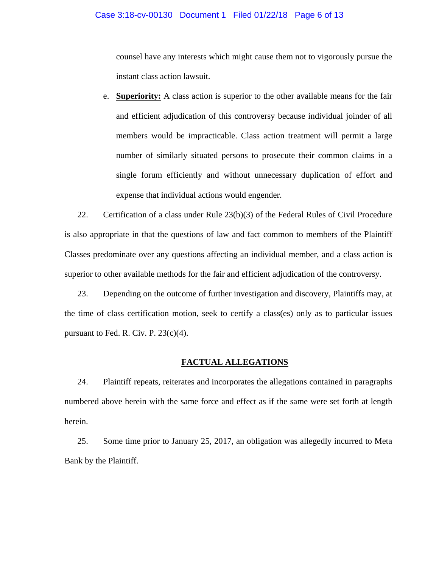#### Case 3:18-cv-00130 Document 1 Filed 01/22/18 Page 6 of 13

counsel have any interests which might cause them not to vigorously pursue the instant class action lawsuit.

e. **Superiority:** A class action is superior to the other available means for the fair and efficient adjudication of this controversy because individual joinder of all members would be impracticable. Class action treatment will permit a large number of similarly situated persons to prosecute their common claims in a single forum efficiently and without unnecessary duplication of effort and expense that individual actions would engender.

22. Certification of a class under Rule 23(b)(3) of the Federal Rules of Civil Procedure is also appropriate in that the questions of law and fact common to members of the Plaintiff Classes predominate over any questions affecting an individual member, and a class action is superior to other available methods for the fair and efficient adjudication of the controversy.

23. Depending on the outcome of further investigation and discovery, Plaintiffs may, at the time of class certification motion, seek to certify a class(es) only as to particular issues pursuant to Fed. R. Civ. P.  $23(c)(4)$ .

#### **FACTUAL ALLEGATIONS**

24. Plaintiff repeats, reiterates and incorporates the allegations contained in paragraphs numbered above herein with the same force and effect as if the same were set forth at length herein.

25. Some time prior to January 25, 2017, an obligation was allegedly incurred to Meta Bank by the Plaintiff.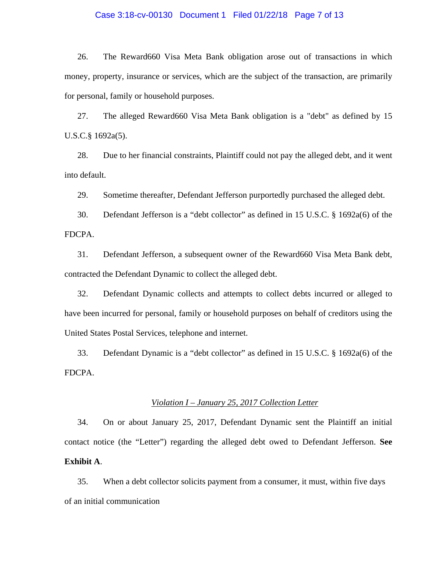#### Case 3:18-cv-00130 Document 1 Filed 01/22/18 Page 7 of 13

26. The Reward660 Visa Meta Bank obligation arose out of transactions in which money, property, insurance or services, which are the subject of the transaction, are primarily for personal, family or household purposes.

27. The alleged Reward660 Visa Meta Bank obligation is a "debt" as defined by 15 U.S.C.§ 1692a(5).

28. Due to her financial constraints, Plaintiff could not pay the alleged debt, and it went into default.

29. Sometime thereafter, Defendant Jefferson purportedly purchased the alleged debt.

30. Defendant Jefferson is a "debt collector" as defined in 15 U.S.C. § 1692a(6) of the FDCPA.

31. Defendant Jefferson, a subsequent owner of the Reward660 Visa Meta Bank debt, contracted the Defendant Dynamic to collect the alleged debt.

32. Defendant Dynamic collects and attempts to collect debts incurred or alleged to have been incurred for personal, family or household purposes on behalf of creditors using the United States Postal Services, telephone and internet.

33. Defendant Dynamic is a "debt collector" as defined in 15 U.S.C. § 1692a(6) of the FDCPA.

#### *Violation I – January 25, 2017 Collection Letter*

34. On or about January 25, 2017, Defendant Dynamic sent the Plaintiff an initial contact notice (the "Letter") regarding the alleged debt owed to Defendant Jefferson. **See Exhibit A**.

35. When a debt collector solicits payment from a consumer, it must, within five days of an initial communication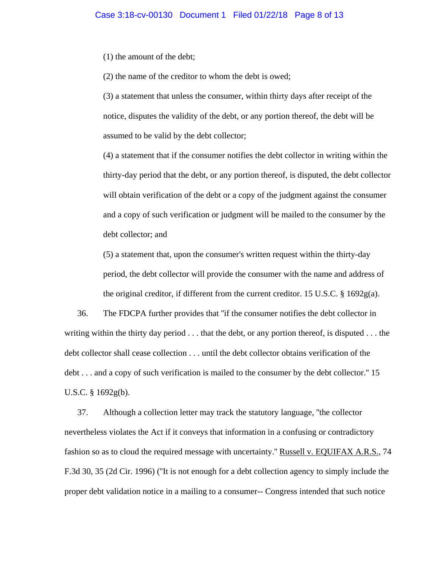(1) the amount of the debt;

(2) the name of the creditor to whom the debt is owed;

(3) a statement that unless the consumer, within thirty days after receipt of the notice, disputes the validity of the debt, or any portion thereof, the debt will be assumed to be valid by the debt collector;

(4) a statement that if the consumer notifies the debt collector in writing within the thirty-day period that the debt, or any portion thereof, is disputed, the debt collector will obtain verification of the debt or a copy of the judgment against the consumer and a copy of such verification or judgment will be mailed to the consumer by the debt collector; and

(5) a statement that, upon the consumer's written request within the thirty-day period, the debt collector will provide the consumer with the name and address of the original creditor, if different from the current creditor. 15 U.S.C.  $\S$  1692g(a).

36. The FDCPA further provides that ''if the consumer notifies the debt collector in writing within the thirty day period . . . that the debt, or any portion thereof, is disputed . . . the debt collector shall cease collection . . . until the debt collector obtains verification of the debt . . . and a copy of such verification is mailed to the consumer by the debt collector.'' 15 U.S.C. § 1692g(b).

37. Although a collection letter may track the statutory language, ''the collector nevertheless violates the Act if it conveys that information in a confusing or contradictory fashion so as to cloud the required message with uncertainty." Russell v. EQUIFAX A.R.S., 74 F.3d 30, 35 (2d Cir. 1996) (''It is not enough for a debt collection agency to simply include the proper debt validation notice in a mailing to a consumer-- Congress intended that such notice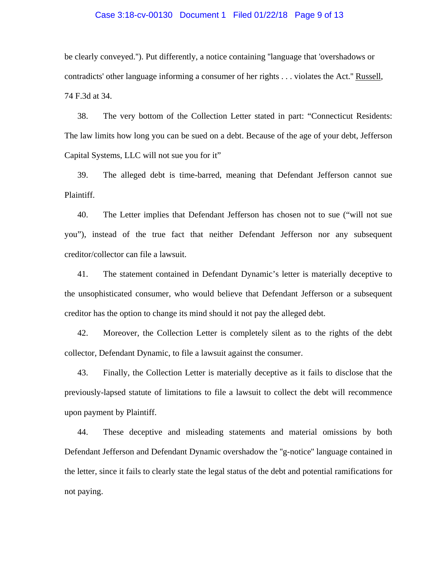#### Case 3:18-cv-00130 Document 1 Filed 01/22/18 Page 9 of 13

be clearly conveyed.''). Put differently, a notice containing ''language that 'overshadows or contradicts' other language informing a consumer of her rights . . . violates the Act.'' Russell, 74 F.3d at 34.

38. The very bottom of the Collection Letter stated in part: "Connecticut Residents: The law limits how long you can be sued on a debt. Because of the age of your debt, Jefferson Capital Systems, LLC will not sue you for it"

39. The alleged debt is time-barred, meaning that Defendant Jefferson cannot sue Plaintiff.

40. The Letter implies that Defendant Jefferson has chosen not to sue ("will not sue you"), instead of the true fact that neither Defendant Jefferson nor any subsequent creditor/collector can file a lawsuit.

41. The statement contained in Defendant Dynamic's letter is materially deceptive to the unsophisticated consumer, who would believe that Defendant Jefferson or a subsequent creditor has the option to change its mind should it not pay the alleged debt.

42. Moreover, the Collection Letter is completely silent as to the rights of the debt collector, Defendant Dynamic, to file a lawsuit against the consumer.

43. Finally, the Collection Letter is materially deceptive as it fails to disclose that the previously-lapsed statute of limitations to file a lawsuit to collect the debt will recommence upon payment by Plaintiff.

44. These deceptive and misleading statements and material omissions by both Defendant Jefferson and Defendant Dynamic overshadow the ''g-notice'' language contained in the letter, since it fails to clearly state the legal status of the debt and potential ramifications for not paying.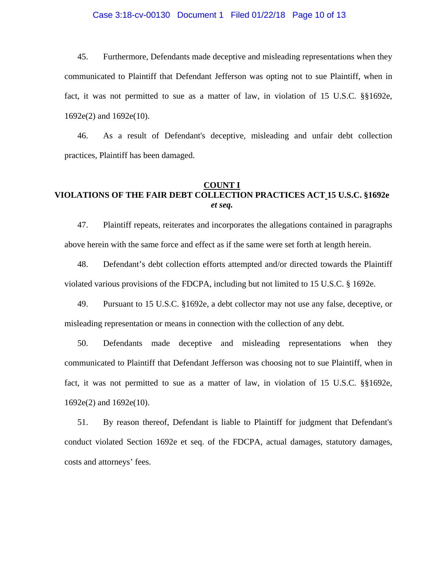#### Case 3:18-cv-00130 Document 1 Filed 01/22/18 Page 10 of 13

45. Furthermore, Defendants made deceptive and misleading representations when they communicated to Plaintiff that Defendant Jefferson was opting not to sue Plaintiff, when in fact, it was not permitted to sue as a matter of law, in violation of 15 U.S.C. §§1692e, 1692e(2) and 1692e(10).

46. As a result of Defendant's deceptive, misleading and unfair debt collection practices, Plaintiff has been damaged.

### **COUNT I VIOLATIONS OF THE FAIR DEBT COLLECTION PRACTICES ACT 15 U.S.C. §1692e**  *et seq.*

47. Plaintiff repeats, reiterates and incorporates the allegations contained in paragraphs above herein with the same force and effect as if the same were set forth at length herein.

48. Defendant's debt collection efforts attempted and/or directed towards the Plaintiff violated various provisions of the FDCPA, including but not limited to 15 U.S.C. § 1692e.

49. Pursuant to 15 U.S.C. §1692e, a debt collector may not use any false, deceptive, or misleading representation or means in connection with the collection of any debt.

50. Defendants made deceptive and misleading representations when they communicated to Plaintiff that Defendant Jefferson was choosing not to sue Plaintiff, when in fact, it was not permitted to sue as a matter of law, in violation of 15 U.S.C. §§1692e, 1692e(2) and 1692e(10).

51. By reason thereof, Defendant is liable to Plaintiff for judgment that Defendant's conduct violated Section 1692e et seq. of the FDCPA, actual damages, statutory damages, costs and attorneys' fees.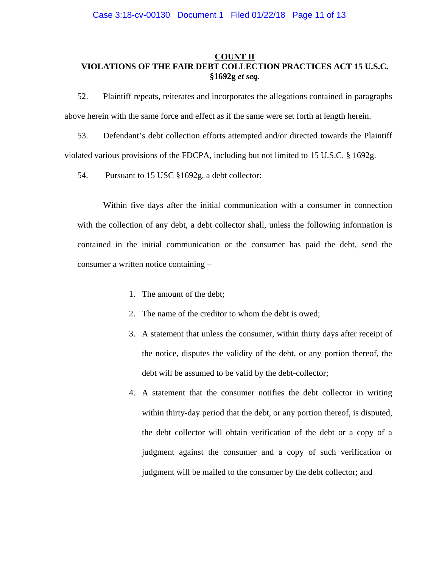#### **COUNT II VIOLATIONS OF THE FAIR DEBT COLLECTION PRACTICES ACT 15 U.S.C. §1692g** *et seq.*

52. Plaintiff repeats, reiterates and incorporates the allegations contained in paragraphs above herein with the same force and effect as if the same were set forth at length herein.

53. Defendant's debt collection efforts attempted and/or directed towards the Plaintiff violated various provisions of the FDCPA, including but not limited to 15 U.S.C. § 1692g.

54. Pursuant to 15 USC §1692g, a debt collector:

Within five days after the initial communication with a consumer in connection with the collection of any debt, a debt collector shall, unless the following information is contained in the initial communication or the consumer has paid the debt, send the consumer a written notice containing –

- 1. The amount of the debt;
- 2. The name of the creditor to whom the debt is owed;
- 3. A statement that unless the consumer, within thirty days after receipt of the notice, disputes the validity of the debt, or any portion thereof, the debt will be assumed to be valid by the debt-collector;
- 4. A statement that the consumer notifies the debt collector in writing within thirty-day period that the debt, or any portion thereof, is disputed, the debt collector will obtain verification of the debt or a copy of a judgment against the consumer and a copy of such verification or judgment will be mailed to the consumer by the debt collector; and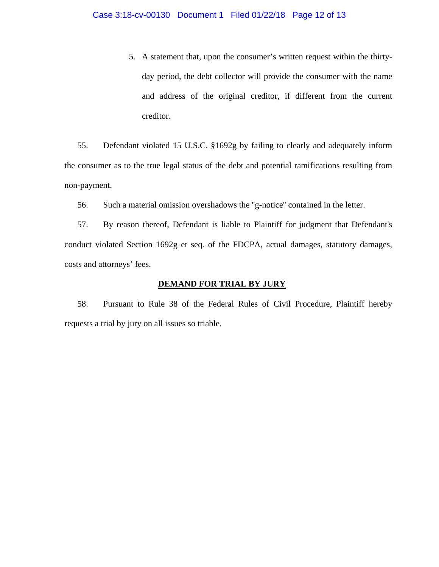5. A statement that, upon the consumer's written request within the thirtyday period, the debt collector will provide the consumer with the name and address of the original creditor, if different from the current creditor.

55. Defendant violated 15 U.S.C. §1692g by failing to clearly and adequately inform the consumer as to the true legal status of the debt and potential ramifications resulting from non-payment.

56. Such a material omission overshadows the ''g-notice'' contained in the letter.

57. By reason thereof, Defendant is liable to Plaintiff for judgment that Defendant's conduct violated Section 1692g et seq. of the FDCPA, actual damages, statutory damages, costs and attorneys' fees.

#### **DEMAND FOR TRIAL BY JURY**

58. Pursuant to Rule 38 of the Federal Rules of Civil Procedure, Plaintiff hereby requests a trial by jury on all issues so triable.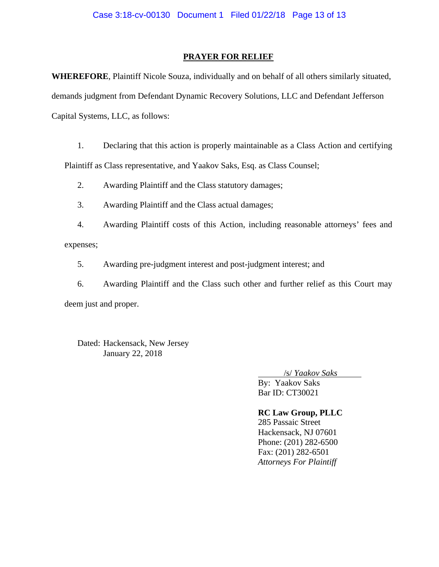#### **PRAYER FOR RELIEF**

**WHEREFORE**, Plaintiff Nicole Souza, individually and on behalf of all others similarly situated, demands judgment from Defendant Dynamic Recovery Solutions, LLC and Defendant Jefferson Capital Systems, LLC, as follows:

1. Declaring that this action is properly maintainable as a Class Action and certifying Plaintiff as Class representative, and Yaakov Saks, Esq. as Class Counsel;

- 2. Awarding Plaintiff and the Class statutory damages;
- 3. Awarding Plaintiff and the Class actual damages;

4. Awarding Plaintiff costs of this Action, including reasonable attorneys' fees and expenses;

5. Awarding pre-judgment interest and post-judgment interest; and

6. Awarding Plaintiff and the Class such other and further relief as this Court may deem just and proper.

Dated: Hackensack, New Jersey January 22, 2018

/s/ *Yaakov Saks*

 By: Yaakov Saks Bar ID: CT30021

**RC Law Group, PLLC**  285 Passaic Street Hackensack, NJ 07601 Phone: (201) 282-6500 Fax: (201) 282-6501 *Attorneys For Plaintiff*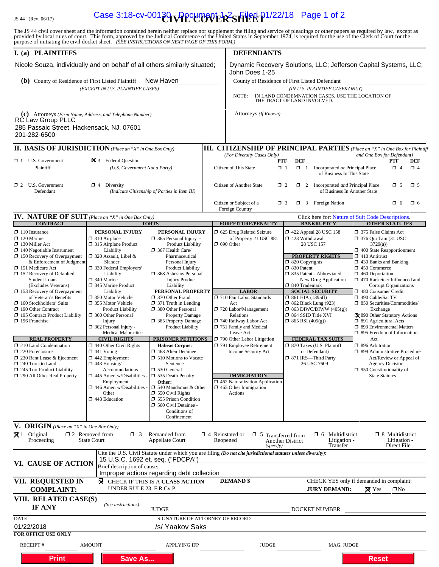## IS 44 (Rev. 06/17) **Case 3:18-cv-001<del>30</del> \Ppcument 1-2 SHEET** 01/22/18 Page 1 of 2

The JS 44 civil cover sheet and the information contained herein neither replace nor supplement the filing and service of pleadings or other papers as required by law, except as provided by local rules of court. This form,

| I. (a) PLAINTIFFS                                                                                                                          |                                                                  |                                                           | <b>DEFENDANTS</b>                                                                                                                               |                                                                                                                             |                                                 |                                                                 |                                                                            |                                        |                        |  |
|--------------------------------------------------------------------------------------------------------------------------------------------|------------------------------------------------------------------|-----------------------------------------------------------|-------------------------------------------------------------------------------------------------------------------------------------------------|-----------------------------------------------------------------------------------------------------------------------------|-------------------------------------------------|-----------------------------------------------------------------|----------------------------------------------------------------------------|----------------------------------------|------------------------|--|
| Nicole Souza, individually and on behalf of all others similarly situated;                                                                 |                                                                  |                                                           |                                                                                                                                                 | Dynamic Recovery Solutions, LLC; Jefferson Capital Systems, LLC;<br>John Does 1-25                                          |                                                 |                                                                 |                                                                            |                                        |                        |  |
| New Haven<br>(b) County of Residence of First Listed Plaintiff                                                                             |                                                                  |                                                           |                                                                                                                                                 | County of Residence of First Listed Defendant                                                                               |                                                 |                                                                 |                                                                            |                                        |                        |  |
| (EXCEPT IN U.S. PLAINTIFF CASES)                                                                                                           |                                                                  |                                                           |                                                                                                                                                 | (IN U.S. PLAINTIFF CASES ONLY)<br>IN LAND CONDEMNATION CASES, USE THE LOCATION OF                                           |                                                 |                                                                 |                                                                            |                                        |                        |  |
|                                                                                                                                            |                                                                  |                                                           |                                                                                                                                                 | NOTE:<br>THE TRACT OF LAND INVOLVED.                                                                                        |                                                 |                                                                 |                                                                            |                                        |                        |  |
| (c) Attorneys (Firm Name, Address, and Telephone Number)<br>RC Law Group PLLC<br>285 Passaic Street, Hackensack, NJ, 07601<br>201-282-6500 |                                                                  |                                                           |                                                                                                                                                 | Attorneys (If Known)                                                                                                        |                                                 |                                                                 |                                                                            |                                        |                        |  |
|                                                                                                                                            |                                                                  |                                                           |                                                                                                                                                 |                                                                                                                             |                                                 |                                                                 |                                                                            |                                        |                        |  |
| <b>II. BASIS OF JURISDICTION</b> (Place an "X" in One Box Only)                                                                            |                                                                  |                                                           | <b>III. CITIZENSHIP OF PRINCIPAL PARTIES</b> (Place an "X" in One Box for Plaintiff<br>(For Diversity Cases Only)                               |                                                                                                                             |                                                 | and One Box for Defendant)                                      |                                                                            |                                        |                        |  |
| $\Box$ 1 U.S. Government<br>Plaintiff                                                                                                      | 25 3 Federal Question<br>(U.S. Government Not a Party)           |                                                           |                                                                                                                                                 | <b>PTF</b><br>Citizen of This State<br>$\Box$ 1                                                                             | <b>DEF</b><br>$\Box$ 1                          | Incorporated or Principal Place<br>of Business In This State    |                                                                            | <b>PTF</b><br>$\Box$ 4                 | <b>DEF</b><br>$\Box$ 4 |  |
| $\Box$ 2 U.S. Government<br>$\Box$ 4 Diversity<br>Defendant<br>(Indicate Citizenship of Parties in Item III)                               |                                                                  |                                                           | Citizen of Another State<br>$\Box$ 2<br>$\Box$ 2<br>Incorporated and Principal Place<br>$\Box$ 5<br>$\square$ 5<br>of Business In Another State |                                                                                                                             |                                                 |                                                                 |                                                                            |                                        |                        |  |
|                                                                                                                                            |                                                                  |                                                           | <b>1</b> 3 Foreign Nation<br>Citizen or Subject of a<br>$\Box$ 3<br>$\Box$ 6<br>$\square$ 6<br>Foreign Country                                  |                                                                                                                             |                                                 |                                                                 |                                                                            |                                        |                        |  |
| <b>IV. NATURE OF SUIT</b> (Place an "X" in One Box Only)<br><b>CONTRACT</b>                                                                |                                                                  | <b>TORTS</b>                                              |                                                                                                                                                 | <b>FORFEITURE/PENALTY</b><br><b>BANKRUPTCY</b>                                                                              |                                                 |                                                                 | Click here for: Nature of Suit Code Descriptions.<br><b>OTHER STATUTES</b> |                                        |                        |  |
| $\Box$ 110 Insurance                                                                                                                       | PERSONAL INJURY                                                  | PERSONAL INJURY                                           |                                                                                                                                                 | 5 625 Drug Related Seizure                                                                                                  |                                                 | 158 122 Appeal 28 USC 158                                       | 7 375 False Claims Act                                                     |                                        |                        |  |
| $\Box$ 120 Marine<br>130 Miller Act                                                                                                        | $\Box$ 310 Airplane                                              | $\Box$ 365 Personal Injury -                              |                                                                                                                                                 | of Property 21 USC 881<br>$\Box$ 690 Other                                                                                  | $\Box$ 423 Withdrawal                           | 28 USC 157                                                      | $\Box$ 376 Qui Tam (31 USC)                                                |                                        |                        |  |
| $\Box$ 140 Negotiable Instrument                                                                                                           | $\Box$ 315 Airplane Product<br>Liability                         | <b>Product Liability</b><br>367 Health Care/              |                                                                                                                                                 |                                                                                                                             |                                                 |                                                                 | 3729(a)<br>$\Box$ 400 State Reapportionment                                |                                        |                        |  |
| $\Box$ 150 Recovery of Overpayment<br>& Enforcement of Judgment                                                                            | $\Box$ 320 Assault, Libel &<br>Slander                           | Pharmaceutical<br>Personal Injury                         |                                                                                                                                                 |                                                                                                                             | $\Box$ 820 Copyrights                           | <b>PROPERTY RIGHTS</b>                                          | $\Box$ 410 Antitrust<br>$\Box$ 430 Banks and Banking                       |                                        |                        |  |
| 151 Medicare Act<br>$\Box$ 152 Recovery of Defaulted                                                                                       | □ 330 Federal Employers'                                         | <b>Product Liability</b><br><b>1368</b> Asbestos Personal |                                                                                                                                                 |                                                                                                                             | □ 830 Patent                                    | 335 Patent - Abbreviated                                        | $\Box$ 450 Commerce<br>$\Box$ 460 Deportation                              |                                        |                        |  |
| <b>Student Loans</b>                                                                                                                       | Liability<br>$\square$ 340 Marine                                | <b>Injury Product</b>                                     |                                                                                                                                                 |                                                                                                                             |                                                 | New Drug Application                                            | $\Box$ 470 Racketeer Influenced and                                        |                                        |                        |  |
| (Excludes Veterans)<br>$\Box$ 153 Recovery of Overpayment                                                                                  | □ 345 Marine Product<br>Liability                                | Liability<br>PERSONAL PROPERTY                            |                                                                                                                                                 | <b>LABOR</b>                                                                                                                | □ 840 Trademark                                 | <b>SOCIAL SECURITY</b>                                          | 480 Consumer Credit                                                        | <b>Corrupt Organizations</b>           |                        |  |
| of Veteran's Benefits                                                                                                                      | □ 350 Motor Vehicle<br>□ 355 Motor Vehicle                       | 370 Other Fraud                                           |                                                                                                                                                 | 710 Fair Labor Standards                                                                                                    | $\Box$ 861 HIA (1395ff)                         |                                                                 | □ 490 Cable/Sat TV<br>$\Box$ 850 Securities/Commodities/                   |                                        |                        |  |
| $\Box$ 160 Stockholders' Suits<br>190 Other Contract                                                                                       | <b>Product Liability</b>                                         | $\Box$ 371 Truth in Lending<br>380 Other Personal         |                                                                                                                                                 | Act<br>720 Labor/Management                                                                                                 |                                                 | <b>1 862 Black Lung (923)</b><br>$\Box$ 863 DIWC/DIWW (405(g))  | Exchange                                                                   |                                        |                        |  |
| 195 Contract Product Liability<br>$\Box$ 196 Franchise                                                                                     | 360 Other Personal<br>Injury                                     | Property Damage<br>□ 385 Property Damage                  |                                                                                                                                                 | Relations<br>740 Railway Labor Act                                                                                          | □ 864 SSID Title XVI<br>$\Box$ 865 RSI (405(g)) |                                                                 | X 890 Other Statutory Actions<br>□ 891 Agricultural Acts                   |                                        |                        |  |
|                                                                                                                                            | $\Box$ 362 Personal Injury -                                     | Product Liability                                         |                                                                                                                                                 | 751 Family and Medical                                                                                                      |                                                 |                                                                 | <b>393 Environmental Matters</b><br>$\Box$ 895 Freedom of Information      |                                        |                        |  |
| <b>REAL PROPERTY</b>                                                                                                                       | <b>Medical Malpractice</b><br><b>CIVIL RIGHTS</b>                | <b>PRISONER PETITIONS</b>                                 |                                                                                                                                                 | Leave Act<br>790 Other Labor Litigation                                                                                     |                                                 | FEDERAL TAX SUITS                                               | Act                                                                        |                                        |                        |  |
| $\Box$ 210 Land Condemnation<br>220 Foreclosure                                                                                            | $\Box$ 440 Other Civil Rights<br>$\Box$ 441 Voting               | <b>Habeas Corpus:</b><br>$\Box$ 463 Alien Detainee        |                                                                                                                                                 | 791 Employee Retirement<br>Income Security Act                                                                              |                                                 | □ 870 Taxes (U.S. Plaintiff<br>or Defendant)                    | □ 896 Arbitration<br>□ 899 Administrative Procedure                        |                                        |                        |  |
| 230 Rent Lease & Ejectment                                                                                                                 | □ 442 Employment                                                 | $\Box$ 510 Motions to Vacate                              |                                                                                                                                                 |                                                                                                                             |                                                 | □ 871 IRS—Third Party                                           |                                                                            | Act/Review or Appeal of                |                        |  |
| $\Box$ 240 Torts to Land<br>$\Box$ 245 Tort Product Liability                                                                              | $\Box$ 443 Housing/<br>Accommodations                            | Sentence<br>$\Box$ 530 General                            |                                                                                                                                                 |                                                                                                                             |                                                 | 26 USC 7609                                                     | □ 950 Constitutionality of                                                 | <b>Agency Decision</b>                 |                        |  |
| 290 All Other Real Property                                                                                                                | $\Box$ 445 Amer. w/Disabilities -<br>Employment                  | 535 Death Penalty<br>Other:                               |                                                                                                                                                 | <b>IMMIGRATION</b><br>1462 Naturalization Application                                                                       |                                                 |                                                                 | <b>State Statutes</b>                                                      |                                        |                        |  |
|                                                                                                                                            | $\Box$ 446 Amer. w/Disabilities                                  | $\Box$ 540 Mandamus & Other<br>$\Box$ 550 Civil Rights    |                                                                                                                                                 | $\Box$ 465 Other Immigration<br>Actions                                                                                     |                                                 |                                                                 |                                                                            |                                        |                        |  |
|                                                                                                                                            | Other<br>448 Education                                           | 555 Prison Condition                                      |                                                                                                                                                 |                                                                                                                             |                                                 |                                                                 |                                                                            |                                        |                        |  |
|                                                                                                                                            |                                                                  | 560 Civil Detainee -<br>Conditions of                     |                                                                                                                                                 |                                                                                                                             |                                                 |                                                                 |                                                                            |                                        |                        |  |
|                                                                                                                                            |                                                                  | Confinement                                               |                                                                                                                                                 |                                                                                                                             |                                                 |                                                                 |                                                                            |                                        |                        |  |
| <b>V. ORIGIN</b> (Place an "X" in One Box Only)<br>$\boxtimes$ 1 Original<br>Proceeding                                                    | $\Box$ 2 Removed from<br>$\Box$ 3<br><b>State Court</b>          | Remanded from<br><b>Appellate Court</b>                   |                                                                                                                                                 | $\Box$ 4 Reinstated or<br>$\Box$ 5 Transferred from<br>Reopened                                                             | <b>Another District</b>                         | $\Box$ 6 Multidistrict<br>Litigation -                          |                                                                            | $\Box$ 8 Multidistrict<br>Litigation - |                        |  |
|                                                                                                                                            |                                                                  |                                                           |                                                                                                                                                 | (specify)<br>Cite the U.S. Civil Statute under which you are filing (Do not cite jurisdictional statutes unless diversity): |                                                 | Transfer                                                        |                                                                            | Direct File                            |                        |  |
| VI. CAUSE OF ACTION                                                                                                                        | 15 U.S.C. 1692 et. seq. ("FDCPA")<br>Brief description of cause: |                                                           |                                                                                                                                                 |                                                                                                                             |                                                 |                                                                 |                                                                            |                                        |                        |  |
|                                                                                                                                            |                                                                  | Improper actions regarding debt collection                |                                                                                                                                                 |                                                                                                                             |                                                 |                                                                 |                                                                            |                                        |                        |  |
| VII. REQUESTED IN<br><b>COMPLAINT:</b>                                                                                                     | ⊠<br>UNDER RULE 23, F.R.Cv.P.                                    | CHECK IF THIS IS A CLASS ACTION                           |                                                                                                                                                 | <b>DEMAND</b> \$                                                                                                            |                                                 | CHECK YES only if demanded in complaint:<br><b>JURY DEMAND:</b> | $\boxtimes$ Yes                                                            | $\square$ No                           |                        |  |
| VIII. RELATED CASE(S)                                                                                                                      |                                                                  |                                                           |                                                                                                                                                 |                                                                                                                             |                                                 |                                                                 |                                                                            |                                        |                        |  |
| IF ANY                                                                                                                                     | (See instructions):                                              | <b>JUDGE</b>                                              |                                                                                                                                                 |                                                                                                                             |                                                 | DOCKET NUMBER                                                   |                                                                            |                                        |                        |  |
| <b>DATE</b>                                                                                                                                |                                                                  | SIGNATURE OF ATTORNEY OF RECORD                           |                                                                                                                                                 |                                                                                                                             |                                                 |                                                                 |                                                                            |                                        |                        |  |
| 01/22/2018<br><b>FOR OFFICE USE ONLY</b>                                                                                                   |                                                                  | /s/ Yaakov Saks                                           |                                                                                                                                                 |                                                                                                                             |                                                 |                                                                 |                                                                            |                                        |                        |  |
| RECEIPT#                                                                                                                                   | <b>AMOUNT</b>                                                    | APPLYING IFP                                              |                                                                                                                                                 | <b>JUDGE</b>                                                                                                                |                                                 | MAG. JUDGE                                                      |                                                                            |                                        |                        |  |
| <b>Print</b>                                                                                                                               | <b>Save As</b>                                                   |                                                           |                                                                                                                                                 |                                                                                                                             |                                                 |                                                                 | <b>Reset</b>                                                               |                                        |                        |  |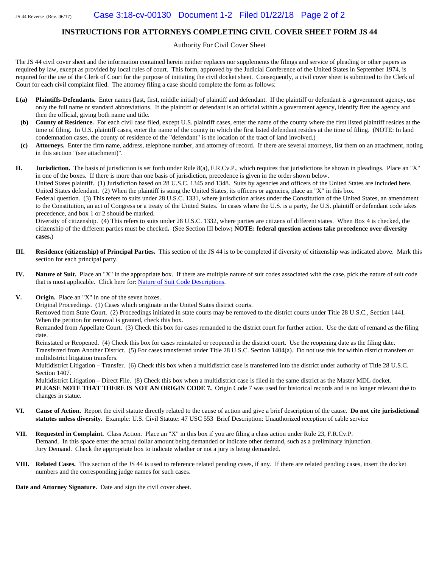#### **INSTRUCTIONS FOR ATTORNEYS COMPLETING CIVIL COVER SHEET FORM JS 44**

Authority For Civil Cover Sheet

The JS 44 civil cover sheet and the information contained herein neither replaces nor supplements the filings and service of pleading or other papers as required by law, except as provided by local rules of court. This form, approved by the Judicial Conference of the United States in September 1974, is required for the use of the Clerk of Court for the purpose of initiating the civil docket sheet. Consequently, a civil cover sheet is submitted to the Clerk of Court for each civil complaint filed. The attorney filing a case should complete the form as follows:

- **I.(a)** Plaintiffs-Defendants. Enter names (last, first, middle initial) of plaintiff and defendant. If the plaintiff or defendant is a government agency, use only the full name or standard abbreviations. If the plaintiff or defendant is an official within a government agency, identify first the agency and then the official, giving both name and title.
- **(b) County of Residence.** For each civil case filed, except U.S. plaintiff cases, enter the name of the county where the first listed plaintiff resides at the time of filing. In U.S. plaintiff cases, enter the name of the county in which the first listed defendant resides at the time of filing. (NOTE: In land condemnation cases, the county of residence of the "defendant" is the location of the tract of land involved.)
- **(c) Attorneys.** Enter the firm name, address, telephone number, and attorney of record. If there are several attorneys, list them on an attachment, noting in this section "(see attachment)".

**II. Jurisdiction.** The basis of jurisdiction is set forth under Rule 8(a), F.R.Cv.P., which requires that jurisdictions be shown in pleadings. Place an "X" in one of the boxes. If there is more than one basis of jurisdiction, precedence is given in the order shown below.

United States plaintiff. (1) Jurisdiction based on 28 U.S.C. 1345 and 1348. Suits by agencies and officers of the United States are included here. United States defendant. (2) When the plaintiff is suing the United States, its officers or agencies, place an "X" in this box.

Federal question. (3) This refers to suits under 28 U.S.C. 1331, where jurisdiction arises under the Constitution of the United States, an amendment to the Constitution, an act of Congress or a treaty of the United States. In cases where the U.S. is a party, the U.S. plaintiff or defendant code takes precedence, and box 1 or 2 should be marked.

Diversity of citizenship. (4) This refers to suits under 28 U.S.C. 1332, where parties are citizens of different states. When Box 4 is checked, the citizenship of the different parties must be checked**.** (See Section III below**; NOTE: federal question actions take precedence over diversity cases.**)

- **III. Residence (citizenship) of Principal Parties.** This section of the JS 44 is to be completed if diversity of citizenship was indicated above. Mark this section for each principal party.
- **IV. Nature of Suit.** Place an "X" in the appropriate box. If there are multiple nature of suit codes associated with the case, pick the nature of suit code that is most applicable. Click here for: Nature of Suit Code Descriptions.
- **V. Origin.** Place an "X" in one of the seven boxes.

Original Proceedings. (1) Cases which originate in the United States district courts.

Removed from State Court. (2) Proceedings initiated in state courts may be removed to the district courts under Title 28 U.S.C., Section 1441. When the petition for removal is granted, check this box.

Remanded from Appellate Court. (3) Check this box for cases remanded to the district court for further action. Use the date of remand as the filing date.

Reinstated or Reopened. (4) Check this box for cases reinstated or reopened in the district court. Use the reopening date as the filing date. Transferred from Another District. (5) For cases transferred under Title 28 U.S.C. Section 1404(a). Do not use this for within district transfers or multidistrict litigation transfers.

Multidistrict Litigation – Transfer. (6) Check this box when a multidistrict case is transferred into the district under authority of Title 28 U.S.C. Section 1407.

Multidistrict Litigation – Direct File. (8) Check this box when a multidistrict case is filed in the same district as the Master MDL docket. **PLEASE NOTE THAT THERE IS NOT AN ORIGIN CODE 7.** Origin Code 7 was used for historical records and is no longer relevant due to changes in statue.

- **VI. Cause of Action.** Report the civil statute directly related to the cause of action and give a brief description of the cause. **Do not cite jurisdictional statutes unless diversity.** Example: U.S. Civil Statute: 47 USC 553 Brief Description: Unauthorized reception of cable service
- **VII. Requested in Complaint.** Class Action. Place an "X" in this box if you are filing a class action under Rule 23, F.R.Cv.P. Demand. In this space enter the actual dollar amount being demanded or indicate other demand, such as a preliminary injunction. Jury Demand. Check the appropriate box to indicate whether or not a jury is being demanded.
- **VIII. Related Cases.** This section of the JS 44 is used to reference related pending cases, if any. If there are related pending cases, insert the docket numbers and the corresponding judge names for such cases.

**Date and Attorney Signature.** Date and sign the civil cover sheet.